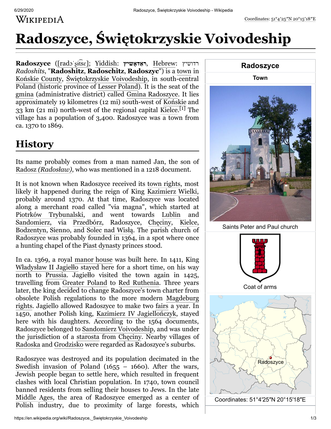WIKIPEDIA

# **Radoszyce, Świętokrzyskie Voivodeship**

**Radoszyce** ([rad[ɔˈʂɨt͡](https://en.wikipedia.org/wiki/Help:IPA/Polish)sɛ]; [Yiddish](https://en.wikipedia.org/wiki/Yiddish_language): **דאשיץָ ראַ** , [Hebrew](https://en.wikipedia.org/wiki/Hebrew_language): רדושיץ *Radoshits*, "**Radoshitz**, **Radoschitz**, **Radoszyc**") is a [town](https://en.wikipedia.org/wiki/Town) in [Końskie County](https://en.wikipedia.org/wiki/Ko%C5%84skie_County), [Świętokrzyskie Voivodeship,](https://en.wikipedia.org/wiki/%C5%9Awi%C4%99tokrzyskie_Voivodeship) in south-central Poland (historic province of [Lesser Poland\)](https://en.wikipedia.org/wiki/Lesser_Poland). It is the seat of the [gmina](https://en.wikipedia.org/wiki/Gmina) (administrative district) called [Gmina Radoszyce](https://en.wikipedia.org/wiki/Gmina_Radoszyce). It lies approximately 19 kilometres (12 mi) south-west of [Końskie](https://en.wikipedia.org/wiki/Ko%C5%84skie) and 33 km (21 mi) north-west of the regional capital [Kielce.](https://en.wikipedia.org/wiki/Kielce)<sup>[\[1\]](#page-1-0)</sup> The village has a population of 3,400. Radoszyce was a town from ca. 1370 to 1869.

#### **History**

Its name probably comes from a man named Jan, the son of Radosz *[\(Radosław\)](https://en.wikipedia.org/w/index.php?title=Radosz&action=edit&redlink=1)*, who was mentioned in a 1218 document.

It is not known when Radoszyce received its [town rights,](https://en.wikipedia.org/wiki/Town_rights) most likely it happened during the reign of King [Kazimierz Wielki](https://en.wikipedia.org/wiki/Kazimierz_Wielki), probably around 1370. At that time, Radoszyce was located along a merchant road called "via magna", which started at [Piotrków Trybunalski](https://en.wikipedia.org/wiki/Piotrk%C3%B3w_Trybunalski), and went towards [Lublin](https://en.wikipedia.org/wiki/Lublin) and [Sandomierz](https://en.wikipedia.org/wiki/Sandomierz), via [Przedbórz,](https://en.wikipedia.org/wiki/Przedb%C3%B3rz) Radoszyce, [Chęciny,](https://en.wikipedia.org/wiki/Ch%C4%99ciny) [Kielce,](https://en.wikipedia.org/wiki/Kielce) [Bodzentyn](https://en.wikipedia.org/wiki/Bodzentyn), [Sienno](https://en.wikipedia.org/wiki/Sienno,_Masovian_Voivodeship), and [Solec nad Wisłą](https://en.wikipedia.org/wiki/Solec_nad_Wis%C5%82%C4%85). The parish church of Radoszyce was probably founded in 1364, in a spot where once a hunting chapel of the [Piast dynasty](https://en.wikipedia.org/wiki/Piast_dynasty) princes stood.

In ca. 1369, a royal [manor house](https://en.wikipedia.org/wiki/Manor_house) was built here. In 1411, King [Władysław II Jagiełło](https://en.wikipedia.org/wiki/W%C5%82adys%C5%82aw_II_Jagie%C5%82%C5%82o) stayed here for a short time, on his way north to [Prussia](https://en.wikipedia.org/wiki/Prussia). Jagiełło visited the town again in 1425, travelling from [Greater Poland](https://en.wikipedia.org/wiki/Greater_Poland) to [Red Ruthenia](https://en.wikipedia.org/wiki/Red_Ruthenia). Three years later, the king decided to change Radoszyce's town charter from [obsolete Polish regulations to the more modern Magdeburg](https://en.wikipedia.org/wiki/Magdeburg_rights) rights. Jagiello allowed Radoszyce to make two [fairs](https://en.wikipedia.org/wiki/Fair) a year. In 1450, another Polish king, [Kazimierz IV Jagiellończyk,](https://en.wikipedia.org/wiki/Casimir_IV_Jagiellon) stayed here with his daughters. According to the 1564 documents, Radoszyce belonged to [Sandomierz Voivodeship](https://en.wikipedia.org/wiki/Sandomierz_Voivodeship), and was under the jurisdiction of a [starosta](https://en.wikipedia.org/wiki/Starosta) from [Chęciny.](https://en.wikipedia.org/wiki/Ch%C4%99ciny) Nearby villages of [Radoska](https://en.wikipedia.org/wiki/Radoska) and [Grodzisko](https://en.wikipedia.org/wiki/Grodzisko,_%C5%9Awi%C4%99tokrzyskie_Voivodeship) were regarded as Radoszyce's suburbs.

Radoszyce was destroyed and its population decimated in the [Swedish invasion of Poland](https://en.wikipedia.org/wiki/Deluge_(history))  $(1655 - 1660)$ . After the wars, Jewish people began to settle here, which resulted in frequent clashes with local Christian population. In 1740, town council banned residents from selling their houses to Jews. In the late [Middle Ages,](https://en.wikipedia.org/wiki/Middle_Ages) the area of Radoszyce emerged as a center of Polish industry, due to proximity of large forests, which





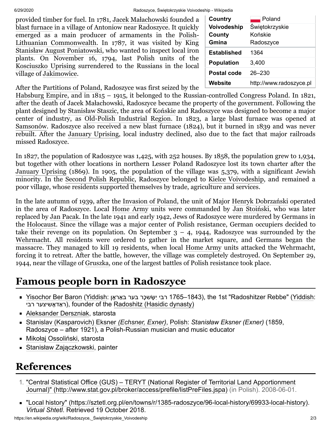6/29/2020 Radoszyce, Świętokrzyskie Voivodeship - Wikipedia

provided timber for fuel. In 1781, [Jacek Małachowski](https://en.wikipedia.org/wiki/Jacek_Ma%C5%82achowski) founded a [blast furnace](https://en.wikipedia.org/wiki/Blast_furnace) in a village of Antoniow near Radoszyce. It quickly [emerged as a main producer of armaments in the Polish-](https://en.wikipedia.org/wiki/Polish-Lithuanian_Commonwealth)Lithuanian Commonwealth. In 1787, it was visited by King [Stanisław August Poniatowski,](https://en.wikipedia.org/wiki/Stanis%C5%82aw_August_Poniatowski) who wanted to inspect local iron plants. On November 16, 1794, last Polish units of the [Kosciuszko Uprising](https://en.wikipedia.org/wiki/Kosciuszko_Uprising) surrendered to the Russians in the local village of [Jakimowice](https://en.wikipedia.org/wiki/Jakimowice).

| Country            | Poland                  |
|--------------------|-------------------------|
| Voivodeship        | Świętokrzyskie          |
| <b>County</b>      | Końskie                 |
| Gmina              | Radoszyce               |
| <b>Established</b> | 1364                    |
| <b>Population</b>  | 3,400                   |
| Postal code        | $26 - 230$              |
| Website            | http://www.radoszyce.pl |

After the [Partitions of Poland,](https://en.wikipedia.org/wiki/Partitions_of_Poland) Radoszyce was first seized by the

[Habsburg Empire](https://en.wikipedia.org/wiki/Habsburg_Monarchy), and in 1815 – 1915, it belonged to the Russian-controlled [Congress Poland.](https://en.wikipedia.org/wiki/Congress_Poland) In 1821, after the death of Jacek Małachowski, Radoszyce became the property of the government. Following the plant designed by [Stanisław Staszic](https://en.wikipedia.org/wiki/Stanis%C5%82aw_Staszic), the area of [Końskie](https://en.wikipedia.org/wiki/Ko%C5%84skie) and Radoszyce was designed to become a major center of industry, as [Old-Polish Industrial Region](https://en.wikipedia.org/wiki/Old-Polish_Industrial_Region). In 1823, a large blast furnace was opened at [Samsonów.](https://en.wikipedia.org/wiki/Samson%C3%B3w) Radoszyce also received a new blast furnace (1824), but it burned in 1839 and was never rebuilt. After the [January Uprising](https://en.wikipedia.org/wiki/January_Uprising), local industry declined, also due to the fact that major railroads missed Radoszyce.

In 1827, the population of Radoszyce was 1,425, with 252 houses. By 1858, the population grew to 1,934, but together with other locations in northern Lesser Poland Radoszyce lost its town charter after the [January Uprising](https://en.wikipedia.org/wiki/January_Uprising) (1869). In 1905, the population of the village was 5,379, with a significant Jewish minority. In the [Second Polish Republic,](https://en.wikipedia.org/wiki/Second_Polish_Republic) Radoszyce belonged to [Kielce Voivodeship](https://en.wikipedia.org/wiki/Kielce_Voivodeship), and remained a poor village, whose residents supported themselves by trade, agriculture and services.

In the late autumn of 1939, after the [Invasion of Poland,](https://en.wikipedia.org/wiki/Invasion_of_Poland) the unit of Major [Henryk Dobrzański](https://en.wikipedia.org/wiki/Henryk_Dobrza%C5%84ski) operated in the area of Radoszyce. Local [Home Army](https://en.wikipedia.org/wiki/Home_Army) units were commanded by [Jan Stoiński](https://en.wikipedia.org/w/index.php?title=Jan_Stoi%C5%84ski&action=edit&redlink=1), who was later replaced by [Jan Pacak](https://en.wikipedia.org/w/index.php?title=Jan_Pacak&action=edit&redlink=1). In the late 1941 and early 1942, Jews of Radoszyce were murdered by Germans in the [Holocaust](https://en.wikipedia.org/wiki/Holocaust). Since the village was a major center of Polish resistance, German occupiers decided to take their revenge on its population. On September  $3 - 4$ , 1944, Radoszyce was surrounded by the [Wehrmacht](https://en.wikipedia.org/wiki/Wehrmacht). All residents were ordered to gather in the market square, and Germans began the massacre. They managed to kill 19 residents, when local [Home Army](https://en.wikipedia.org/wiki/Home_Army) units attacked the Wehrmacht, forcing it to retreat. After the battle, however, the village was completely destroyed. On September 29, 1944, near the village of [Gruszka](https://en.wikipedia.org/wiki/Gruszka,_Ko%C5%84skie_County), one of the largest battles of Polish resistance took place.

## **Famous people born in Radoszyce**

- [Yisochor Ber Baron](https://en.wikipedia.org/w/index.php?title=Yisochor_Ber_Baron&action=edit&redlink=1) [\(Yiddish](https://en.wikipedia.org/wiki/Yiddish_language): רבי יִשְׂשכֶר בער באַראָן 1765–1843), the 1st "Radoshitzer Rebbe" (Yiddish: ראַדאָשיצער רבי), founder of the [Radoshitz \(Hasidic dynasty\)](https://en.wikipedia.org/wiki/Radoshitz_(Hasidic_dynasty))
- [Aleksander Derszniak,](https://en.wikipedia.org/w/index.php?title=Aleksander_Derszniak&action=edit&redlink=1) starosta
- [Stanislav \(Kasparovich\) Eksner](https://en.wikipedia.org/wiki/Stanislav_Echsner) *(Echsner, Exner)*, [Polish:](https://en.wikipedia.org/wiki/Polish_language) *Stanisław Eksner (Exner)* (1859, Radoszyce – after 1921), a Polish-Russian musician and music educator
- [Mikołaj Ossoliński,](https://en.wikipedia.org/w/index.php?title=Miko%C5%82aj_Ossoli%C5%84ski&action=edit&redlink=1) starosta
- [Stanisław Zajączkowski](https://en.wikipedia.org/w/index.php?title=Stanis%C5%82aw_Zaj%C4%85czkowski_(painter)&action=edit&redlink=1), painter

## **References**

- <span id="page-1-0"></span>1. "Central Statistical Office (GUS) – TERYT (National Register of Territorial Land Apportionment [Journal\)" \(http://www.stat.gov.pl/broker/access/prefile/listPreFiles.jspa\) \(in Polish\). 2008-06-01.](http://www.stat.gov.pl/broker/access/prefile/listPreFiles.jspa)
- ["Local history" \(https://sztetl.org.pl/en/towns/r/1385-radoszyce/96-local-history/69933-local-history\).](https://sztetl.org.pl/en/towns/r/1385-radoszyce/96-local-history/69933-local-history) *Virtual Shtetl*. Retrieved 19 October 2018.